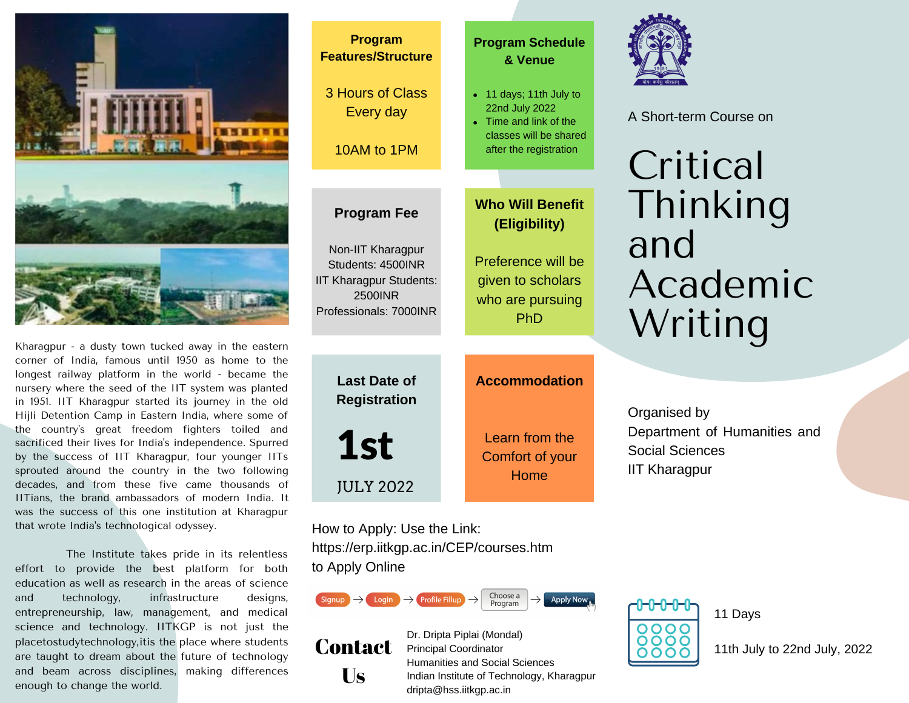

Kharagpur - a dusty town tucked away in the eastern corner of India, famous until 1950 as home to the longest railway platform in the world - became the nursery where the seed of the IIT system was planted in 1951. IIT Kharagpur started its journey in the old Hijli Detention Camp in Eastern India, where some of the country's great freedom fighters toiled and sacrificed their lives for India's independence. Spurred by the success of IIT Kharagpur, four younger IITs sprouted around the country in the two following decades, and from these five came thousands of IITians, the brand ambassadors of modern India. It was the success of this one institution at Kharagpur that wrote India's technological odyssey.

The Institute takes pride in its relentless effort to provide the best platform for both education as well as research in the areas of science and technology, infrastructure designs, entrepreneurship, law, management, and medical science and technology. IITKGP is not just the placetostudytechnology,itis the place where students are taught to dream about the future of technology and beam across disciplines, making differences enough to change the world.



How to Apply: Use the Link: https://erp.iitkgp.ac.in/CEP/courses.htm to Apply Online





Dr. Dripta Piplai (Mondal) Principal Coordinator Humanities and Social Sciences Indian Institute of Technology, Kharagpur dripta@hss.iitkgp.ac.in



11 Days

11th July to 22nd July, 2022



A Short-term Course on

# Thinking and Academic Writing

Organised by Department of Humanities and Social Sciences IIT Kharagpur